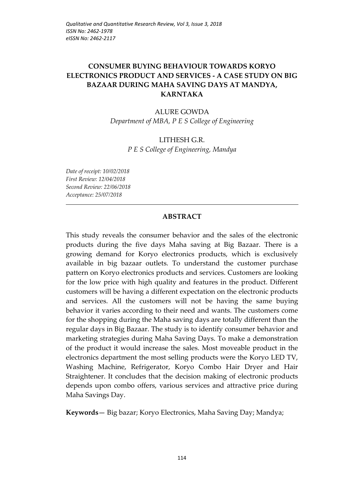# **CONSUMER BUYING BEHAVIOUR TOWARDS KORYO ELECTRONICS PRODUCT AND SERVICES - A CASE STUDY ON BIG BAZAAR DURING MAHA SAVING DAYS AT MANDYA, KARNTAKA**

#### ALURE GOWDA

*Department of MBA, P E S College of Engineering*

#### LITHESH G.R. *P E S College of Engineering, Mandya*

*Date of receipt: 10/02/2018 First Review: 12/04/2018 Second Review: 22/06/2018 Acceptance: 25/07/2018*

#### **ABSTRACT**

This study reveals the consumer behavior and the sales of the electronic products during the five days Maha saving at Big Bazaar. There is a growing demand for Koryo electronics products, which is exclusively available in big bazaar outlets. To understand the customer purchase pattern on Koryo electronics products and services. Customers are looking for the low price with high quality and features in the product. Different customers will be having a different expectation on the electronic products and services. All the customers will not be having the same buying behavior it varies according to their need and wants. The customers come for the shopping during the Maha saving days are totally different than the regular days in Big Bazaar. The study is to identify consumer behavior and marketing strategies during Maha Saving Days. To make a demonstration of the product it would increase the sales. Most moveable product in the electronics department the most selling products were the Koryo LED TV, Washing Machine, Refrigerator, Koryo Combo Hair Dryer and Hair Straightener. It concludes that the decision making of electronic products depends upon combo offers, various services and attractive price during Maha Savings Day.

**Keywords***—* Big bazar; Koryo Electronics, Maha Saving Day; Mandya;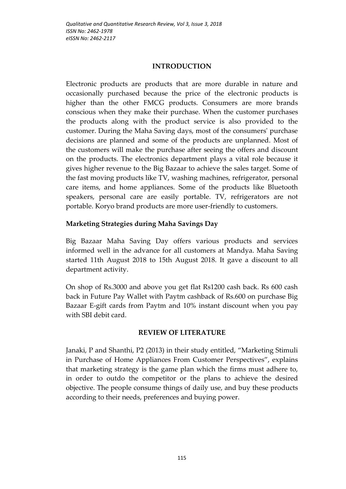### **INTRODUCTION**

Electronic products are products that are more durable in nature and occasionally purchased because the price of the electronic products is higher than the other FMCG products. Consumers are more brands conscious when they make their purchase. When the customer purchases the products along with the product service is also provided to the customer. During the Maha Saving days, most of the consumers' purchase decisions are planned and some of the products are unplanned. Most of the customers will make the purchase after seeing the offers and discount on the products. The electronics department plays a vital role because it gives higher revenue to the Big Bazaar to achieve the sales target. Some of the fast moving products like TV, washing machines, refrigerator, personal care items, and home appliances. Some of the products like Bluetooth speakers, personal care are easily portable. TV, refrigerators are not portable. Koryo brand products are more user-friendly to customers.

## **Marketing Strategies during Maha Savings Day**

Big Bazaar Maha Saving Day offers various products and services informed well in the advance for all customers at Mandya. Maha Saving started 11th August 2018 to 15th August 2018. It gave a discount to all department activity.

On shop of Rs.3000 and above you get flat Rs1200 cash back. Rs 600 cash back in Future Pay Wallet with Paytm cashback of Rs.600 on purchase Big Bazaar E-gift cards from Paytm and 10% instant discount when you pay with SBI debit card.

## **REVIEW OF LITERATURE**

Janaki, P and Shanthi, P2 (2013) in their study entitled, "Marketing Stimuli in Purchase of Home Appliances From Customer Perspectives", explains that marketing strategy is the game plan which the firms must adhere to, in order to outdo the competitor or the plans to achieve the desired objective. The people consume things of daily use, and buy these products according to their needs, preferences and buying power.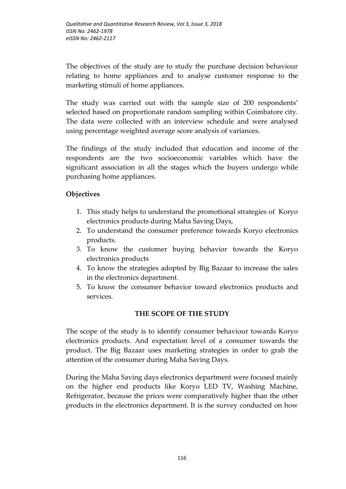The objectives of the study are to study the purchase decision behaviour relating to home appliances and to analyse customer response to the marketing stimuli of home appliances.

The study was carried out with the sample size of 200 respondents' selected based on proportionate random sampling within Coimbatore city. The data were collected with an interview schedule and were analysed using percentage weighted average score analysis of variances.

The findings of the study included that education and income of the respondents are the two socioeconomic variables which have the significant association in all the stages which the buyers undergo while purchasing home appliances.

# **Objectives**

- 1. This study helps to understand the promotional strategies of Koryo electronics products during Maha Saving Days,
- 2. To understand the consumer preference towards Koryo electronics products.
- 3. To know the customer buying behavior towards the Koryo electronics products
- 4. To know the strategies adopted by Big Bazaar to increase the sales in the electronics department.
- 5. To know the consumer behavior toward electronics products and services.

## **THE SCOPE OF THE STUDY**

The scope of the study is to identify consumer behaviour towards Koryo electronics products. And expectation level of a consumer towards the product. The Big Bazaar uses marketing strategies in order to grab the attention of the consumer during Maha Saving Days.

During the Maha Saving days electronics department were focused mainly on the higher end products like Koryo LED TV, Washing Machine, Refrigerator, because the prices were comparatively higher than the other products in the electronics department. It is the survey conducted on how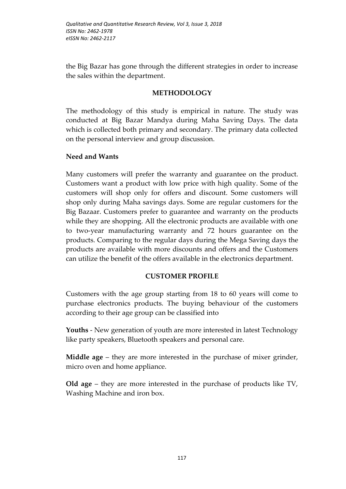the Big Bazar has gone through the different strategies in order to increase the sales within the department.

### **METHODOLOGY**

The methodology of this study is empirical in nature. The study was conducted at Big Bazar Mandya during Maha Saving Days. The data which is collected both primary and secondary. The primary data collected on the personal interview and group discussion.

### **Need and Wants**

Many customers will prefer the warranty and guarantee on the product. Customers want a product with low price with high quality. Some of the customers will shop only for offers and discount. Some customers will shop only during Maha savings days. Some are regular customers for the Big Bazaar. Customers prefer to guarantee and warranty on the products while they are shopping. All the electronic products are available with one to two-year manufacturing warranty and 72 hours guarantee on the products. Comparing to the regular days during the Mega Saving days the products are available with more discounts and offers and the Customers can utilize the benefit of the offers available in the electronics department.

## **CUSTOMER PROFILE**

Customers with the age group starting from 18 to 60 years will come to purchase electronics products. The buying behaviour of the customers according to their age group can be classified into

**Youths** - New generation of youth are more interested in latest Technology like party speakers, Bluetooth speakers and personal care.

**Middle age** – they are more interested in the purchase of mixer grinder, micro oven and home appliance.

**Old age** – they are more interested in the purchase of products like TV, Washing Machine and iron box.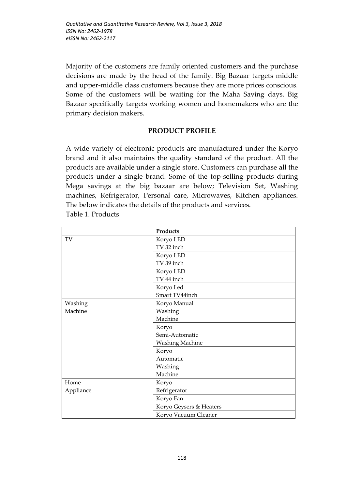Majority of the customers are family oriented customers and the purchase decisions are made by the head of the family. Big Bazaar targets middle and upper-middle class customers because they are more prices conscious. Some of the customers will be waiting for the Maha Saving days. Big Bazaar specifically targets working women and homemakers who are the primary decision makers.

### **PRODUCT PROFILE**

A wide variety of electronic products are manufactured under the Koryo brand and it also maintains the quality standard of the product. All the products are available under a single store. Customers can purchase all the products under a single brand. Some of the top-selling products during Mega savings at the big bazaar are below; Television Set, Washing machines, Refrigerator, Personal care, Microwaves, Kitchen appliances. The below indicates the details of the products and services. Table 1. Products

|           | Products                |  |
|-----------|-------------------------|--|
| TV        | Koryo LED               |  |
|           | TV 32 inch              |  |
|           | Koryo LED               |  |
|           | TV 39 inch              |  |
|           | Koryo LED               |  |
|           | TV 44 inch              |  |
|           | Koryo Led               |  |
|           | Smart TV44inch          |  |
| Washing   | Koryo Manual            |  |
| Machine   | Washing                 |  |
|           | Machine                 |  |
|           | Koryo                   |  |
|           | Semi-Automatic          |  |
|           | <b>Washing Machine</b>  |  |
|           | Koryo                   |  |
|           | Automatic               |  |
|           | Washing                 |  |
|           | Machine                 |  |
| Home      | Koryo                   |  |
| Appliance | Refrigerator            |  |
|           | Koryo Fan               |  |
|           | Koryo Geysers & Heaters |  |
|           | Koryo Vacuum Cleaner    |  |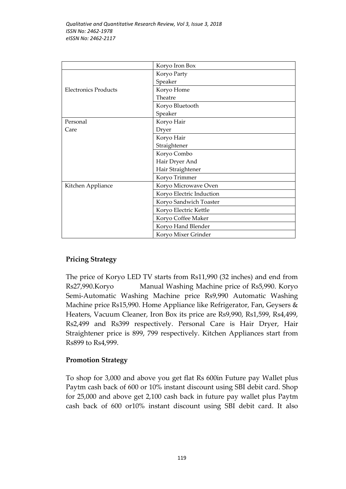|                             | Koryo Iron Box           |  |  |
|-----------------------------|--------------------------|--|--|
|                             | Koryo Party              |  |  |
|                             | Speaker                  |  |  |
| <b>Electronics Products</b> | Koryo Home               |  |  |
|                             | Theatre                  |  |  |
|                             | Koryo Bluetooth          |  |  |
|                             | Speaker                  |  |  |
| Personal                    | Koryo Hair               |  |  |
| Care                        | Dryer                    |  |  |
|                             | Koryo Hair               |  |  |
|                             | Straightener             |  |  |
|                             | Koryo Combo              |  |  |
|                             | Hair Dryer And           |  |  |
|                             | Hair Straightener        |  |  |
|                             | Koryo Trimmer            |  |  |
| Kitchen Appliance           | Koryo Microwave Oven     |  |  |
|                             | Koryo Electric Induction |  |  |
|                             | Koryo Sandwich Toaster   |  |  |
|                             | Koryo Electric Kettle    |  |  |
|                             | Koryo Coffee Maker       |  |  |
|                             | Koryo Hand Blender       |  |  |
|                             | Koryo Mixer Grinder      |  |  |

# **Pricing Strategy**

The price of Koryo LED TV starts from Rs11,990 (32 inches) and end from Rs27,990.Koryo Manual Washing Machine price of Rs5,990. Koryo Semi-Automatic Washing Machine price Rs9,990 Automatic Washing Machine price Rs15,990. Home Appliance like Refrigerator, Fan, Geysers & Heaters, Vacuum Cleaner, Iron Box its price are Rs9,990, Rs1,599, Rs4,499, Rs2,499 and Rs399 respectively. Personal Care is Hair Dryer, Hair Straightener price is 899, 799 respectively. Kitchen Appliances start from Rs899 to Rs4,999.

## **Promotion Strategy**

To shop for 3,000 and above you get flat Rs 600in Future pay Wallet plus Paytm cash back of 600 or 10% instant discount using SBI debit card. Shop for 25,000 and above get 2,100 cash back in future pay wallet plus Paytm cash back of 600 or10% instant discount using SBI debit card. It also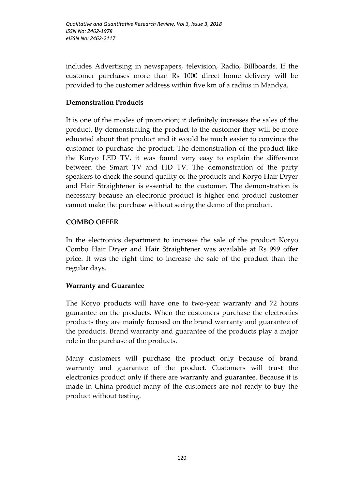includes Advertising in newspapers, television, Radio, Billboards. If the customer purchases more than Rs 1000 direct home delivery will be provided to the customer address within five km of a radius in Mandya.

### **Demonstration Products**

It is one of the modes of promotion; it definitely increases the sales of the product. By demonstrating the product to the customer they will be more educated about that product and it would be much easier to convince the customer to purchase the product. The demonstration of the product like the Koryo LED TV, it was found very easy to explain the difference between the Smart TV and HD TV. The demonstration of the party speakers to check the sound quality of the products and Koryo Hair Dryer and Hair Straightener is essential to the customer. The demonstration is necessary because an electronic product is higher end product customer cannot make the purchase without seeing the demo of the product.

### **COMBO OFFER**

In the electronics department to increase the sale of the product Koryo Combo Hair Dryer and Hair Straightener was available at Rs 999 offer price. It was the right time to increase the sale of the product than the regular days.

### **Warranty and Guarantee**

The Koryo products will have one to two-year warranty and 72 hours guarantee on the products. When the customers purchase the electronics products they are mainly focused on the brand warranty and guarantee of the products. Brand warranty and guarantee of the products play a major role in the purchase of the products.

Many customers will purchase the product only because of brand warranty and guarantee of the product. Customers will trust the electronics product only if there are warranty and guarantee. Because it is made in China product many of the customers are not ready to buy the product without testing.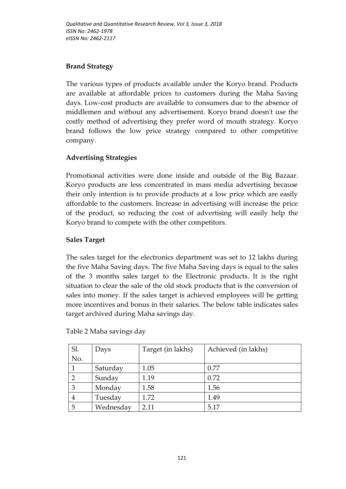## **Brand Strategy**

The various types of products available under the Koryo brand. Products are available at affordable prices to customers during the Maha Saving days. Low-cost products are available to consumers due to the absence of middlemen and without any advertisement. Koryo brand doesn't use the costly method of advertising they prefer word of mouth strategy. Koryo brand follows the low price strategy compared to other competitive company.

# **Advertising Strategies**

Promotional activities were done inside and outside of the Big Bazaar. Koryo products are less concentrated in mass media advertising because their only intention is to provide products at a low price which are easily affordable to the customers. Increase in advertising will increase the price of the product, so reducing the cost of advertising will easily help the Koryo brand to compete with the other competitors.

## **Sales Target**

The sales target for the electronics department was set to 12 lakhs during the five Maha Saving days. The five Maha Saving days is equal to the sales of the 3 months sales target to the Electronic products. It is the right situation to clear the sale of the old stock products that is the conversion of sales into money. If the sales target is achieved employees will be getting more incentives and bonus in their salaries. The below table indicates sales target archived during Maha savings day.

| Sl.           | Days      | Target (in lakhs) | Achieved (in lakhs) |
|---------------|-----------|-------------------|---------------------|
| No.           |           |                   |                     |
|               | Saturday  | 1.05              | 0.77                |
| $\mathcal{P}$ | Sunday    | 1.19              | 0.72                |
| 3             | Monday    | 1.58              | 1.56                |
| 4             | Tuesday   | 1.72              | 1.49                |
| 5             | Wednesday | 2.11              | 5.17                |

Table 2 Maha savings day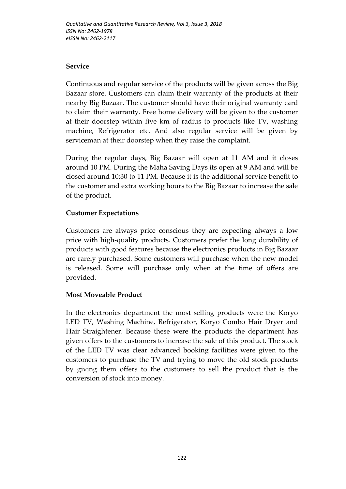### **Service**

Continuous and regular service of the products will be given across the Big Bazaar store. Customers can claim their warranty of the products at their nearby Big Bazaar. The customer should have their original warranty card to claim their warranty. Free home delivery will be given to the customer at their doorstep within five km of radius to products like TV, washing machine, Refrigerator etc. And also regular service will be given by serviceman at their doorstep when they raise the complaint.

During the regular days, Big Bazaar will open at 11 AM and it closes around 10 PM. During the Maha Saving Days its open at 9 AM and will be closed around 10:30 to 11 PM. Because it is the additional service benefit to the customer and extra working hours to the Big Bazaar to increase the sale of the product.

# **Customer Expectations**

Customers are always price conscious they are expecting always a low price with high-quality products. Customers prefer the long durability of products with good features because the electronics products in Big Bazaar are rarely purchased. Some customers will purchase when the new model is released. Some will purchase only when at the time of offers are provided.

## **Most Moveable Product**

In the electronics department the most selling products were the Koryo LED TV, Washing Machine, Refrigerator, Koryo Combo Hair Dryer and Hair Straightener. Because these were the products the department has given offers to the customers to increase the sale of this product. The stock of the LED TV was clear advanced booking facilities were given to the customers to purchase the TV and trying to move the old stock products by giving them offers to the customers to sell the product that is the conversion of stock into money.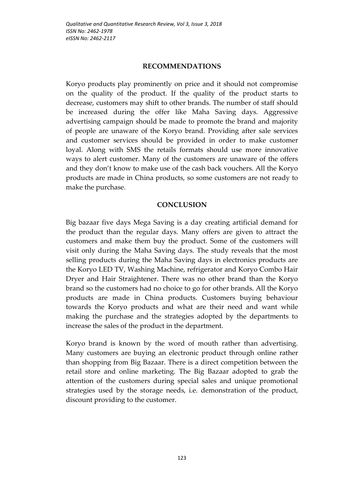#### **RECOMMENDATIONS**

Koryo products play prominently on price and it should not compromise on the quality of the product. If the quality of the product starts to decrease, customers may shift to other brands. The number of staff should be increased during the offer like Maha Saving days. Aggressive advertising campaign should be made to promote the brand and majority of people are unaware of the Koryo brand. Providing after sale services and customer services should be provided in order to make customer loyal. Along with SMS the retails formats should use more innovative ways to alert customer. Many of the customers are unaware of the offers and they don't know to make use of the cash back vouchers. All the Koryo products are made in China products, so some customers are not ready to make the purchase.

### **CONCLUSION**

Big bazaar five days Mega Saving is a day creating artificial demand for the product than the regular days. Many offers are given to attract the customers and make them buy the product. Some of the customers will visit only during the Maha Saving days. The study reveals that the most selling products during the Maha Saving days in electronics products are the Koryo LED TV, Washing Machine, refrigerator and Koryo Combo Hair Dryer and Hair Straightener. There was no other brand than the Koryo brand so the customers had no choice to go for other brands. All the Koryo products are made in China products. Customers buying behaviour towards the Koryo products and what are their need and want while making the purchase and the strategies adopted by the departments to increase the sales of the product in the department.

Koryo brand is known by the word of mouth rather than advertising. Many customers are buying an electronic product through online rather than shopping from Big Bazaar. There is a direct competition between the retail store and online marketing. The Big Bazaar adopted to grab the attention of the customers during special sales and unique promotional strategies used by the storage needs, i.e. demonstration of the product, discount providing to the customer.